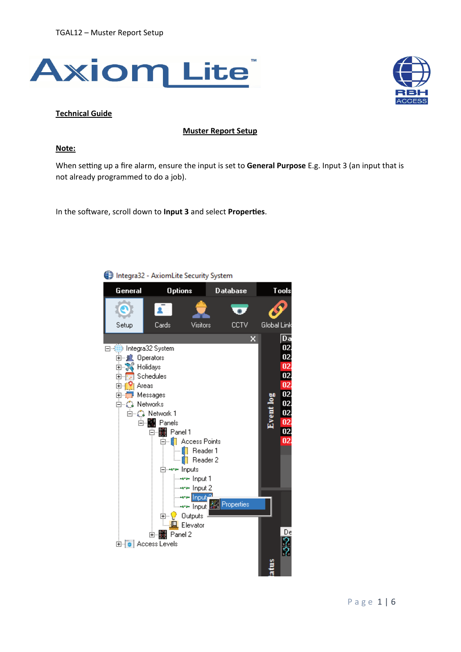



## **Technical Guide**

## **Muster Report Setup**

## **Note:**

When setting up a fire alarm, ensure the input is set to General Purpose E.g. Input 3 (an input that is not already programmed to do a job).

In the software, scroll down to **Input 3** and select **Properties**.



Integra32 - AxiomLite Security System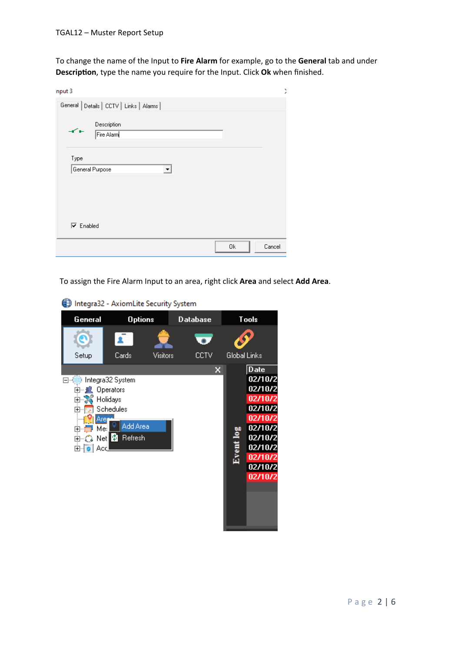To change the name of the Input to **Fire Alarm** for example, go to the **General** tab and under **Description**, type the name you require for the Input. Click Ok when finished.

| nput 3                                          | ĭ |
|-------------------------------------------------|---|
| General Details   CCTV   Links   Alarms         |   |
| Description<br>$-$<br>Fire Alarm                |   |
| Type<br>General Purpose<br>$\blacktriangledown$ |   |
| $\overline{\triangledown}$ Enabled              |   |
| 0k<br>Cancel                                    |   |

To assign the Fire Alarm Input to an area, right click **Area** and select **Add Area**.

Integra32 - AxiomLite Security System

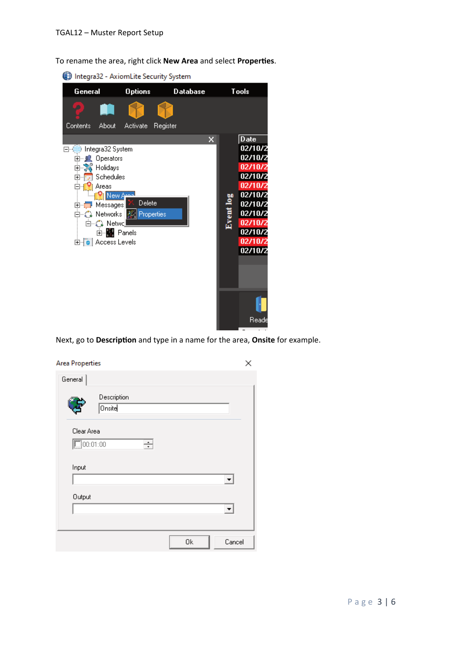To rename the area, right click **New Area** and select **Proper�es**.

Integra32 - AxiomLite Security System



Next, go to Description and type in a name for the area, Onsite for example.

| <b>Area Properties</b> |                              |   |    | ×      |
|------------------------|------------------------------|---|----|--------|
| General                |                              |   |    |        |
|                        | Description<br><b>Onsite</b> |   |    |        |
| Clear Area<br>00:01:00 |                              | ÷ |    |        |
| Input                  |                              |   |    | ▼      |
| Output                 |                              |   |    |        |
|                        |                              |   | 0k | Cancel |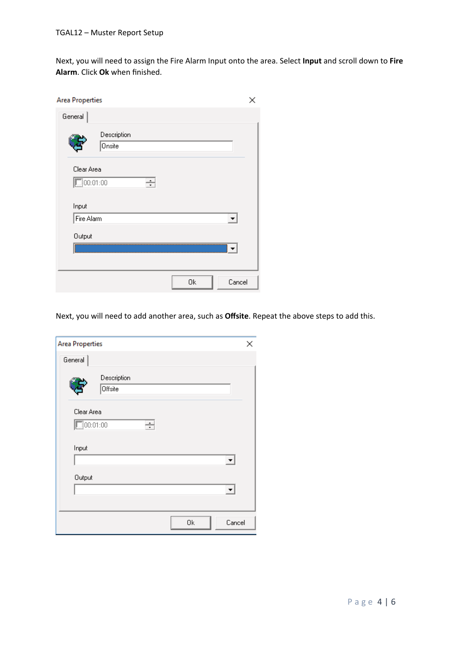Next, you will need to assign the Fire Alarm Input onto the area. Select **Input** and scroll down to **Fire Alarm**. Click **Ok** when finished.

| <b>Area Properties</b> |                       |        |
|------------------------|-----------------------|--------|
| General                |                       |        |
|                        | Description<br>Onsite |        |
| Clear Area<br>00:01:00 | ÷                     |        |
| Input<br>Fire Alarm    |                       |        |
| Output                 |                       |        |
|                        | 0k                    | Cancel |

Next, you will need to add another area, such as **Offsite**. Repeat the above steps to add this.

| <b>Area Properties</b>        |                        |   |    | ×      |
|-------------------------------|------------------------|---|----|--------|
| General                       |                        |   |    |        |
|                               | Description<br>Offsite |   |    |        |
| Clear Area<br>$\Box 00:01:00$ |                        | ÷ |    |        |
| Input                         |                        |   |    |        |
| Output                        |                        |   |    |        |
|                               |                        |   | 0k | Cancel |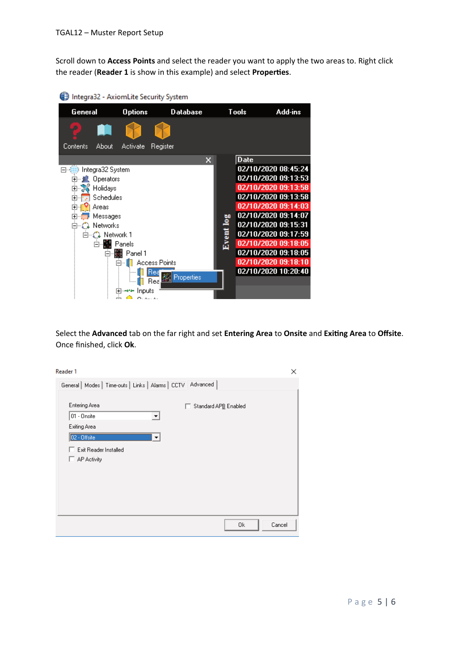Scroll down to **Access Points** and select the reader you want to apply the two areas to. Right click the reader (**Reader 1** is show in this example) and select **Proper�es**.

| Integra32 - AxiomLite Security System |                                              |                   |                      |                 |              |             |                                            |
|---------------------------------------|----------------------------------------------|-------------------|----------------------|-----------------|--------------|-------------|--------------------------------------------|
| General                               |                                              | <b>Options</b>    |                      | <b>Database</b> | <b>Tools</b> |             | Add-ins                                    |
| Contents                              | About                                        | Activate          | Register             |                 |              |             |                                            |
| □ ∰ Integra32 System                  |                                              |                   |                      | x               |              | <b>Date</b> | 02/10/2020 08:45:24                        |
|                                       | 田…JK Operators                               |                   |                      |                 |              |             | 02/10/2020 09:13:53                        |
|                                       | 由 2. Holidays                                |                   |                      |                 |              |             | 02/10/2020 09:13:58                        |
|                                       | Schedules                                    |                   |                      |                 |              |             | 02/10/2020 09:13:58                        |
| 曱                                     | Areas                                        |                   |                      |                 |              |             | 02/10/2020 09:14:03                        |
|                                       | Messages                                     |                   |                      |                 | <b>DD</b>    |             | 02/10/2020 09:14:07<br>02/10/2020 09:15:31 |
|                                       | ⊟…ี ใู้ Networks<br>⊟่ <i>∝ั</i> ൂ Network 1 |                   |                      |                 |              |             | 02/10/2020 09:17:59                        |
|                                       | 白…∭ Panels                                   |                   |                      |                 | Event lo     |             | 02/10/2020 09:18:05                        |
|                                       |                                              | 白 but Panel 1     |                      |                 |              |             | 02/10/2020 09:18:05                        |
|                                       |                                              | Ė-                | <b>Access Points</b> |                 |              |             | 02/10/2020 09:18:10                        |
|                                       |                                              |                   |                      | Properties      |              |             | 02/10/2020 10:20:40                        |
|                                       |                                              |                   | Bea                  |                 |              |             |                                            |
|                                       |                                              | Inputs<br>O L L . |                      |                 |              |             |                                            |
|                                       |                                              |                   |                      |                 |              |             |                                            |

Select the **Advanced** tab on the far right and set **Entering Area** to **Onsite** and **Exi�ng Area** to **Offsite**. Once finished, click **Ok**.

| Reader 1                                                                                                                                                                        | × |
|---------------------------------------------------------------------------------------------------------------------------------------------------------------------------------|---|
| General   Modes   Time-outs   Links   Alarms   CCTV   Advanced                                                                                                                  |   |
| <b>Entering Area</b><br>Standard APB Enabled<br>п.<br>01 - Onsite<br>$\overline{\phantom{a}}$<br>Exiting Area<br>02 - Offsite<br>▼<br>Exit Reader Installed<br>AP Activity<br>U |   |
| 0k<br>Cancel                                                                                                                                                                    |   |